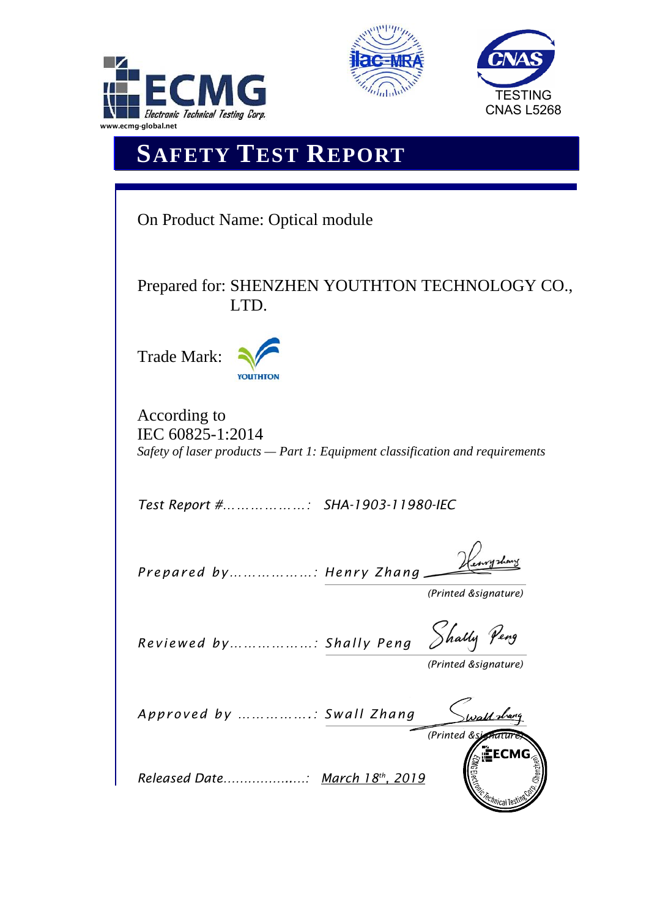





## **SAFETY TEST REPORT**

| <b>On Product Name: Optical module</b>                                                                             |
|--------------------------------------------------------------------------------------------------------------------|
| Prepared for: SHENZHEN YOUTHTON TECHNOLOGY CO.,<br>LTD.                                                            |
| Trade Mark:                                                                                                        |
| According to<br>IEC 60825-1:2014<br>Safety of laser products $-$ Part 1: Equipment classification and requirements |
| Test Report # SHA-1903-11980-IEC                                                                                   |
| Prepared by: Henry Zhang<br>(Printed &signature)                                                                   |
| Shally<br>Reviewed by: Shally Peng<br>(Printed &signature)                                                         |
| Approved by : Swall Zhang<br>s <u>all s</u> har<br>(Printed &si                                                    |
| ÈECM<br><i><sup>:hnica</sup></i> l T                                                                               |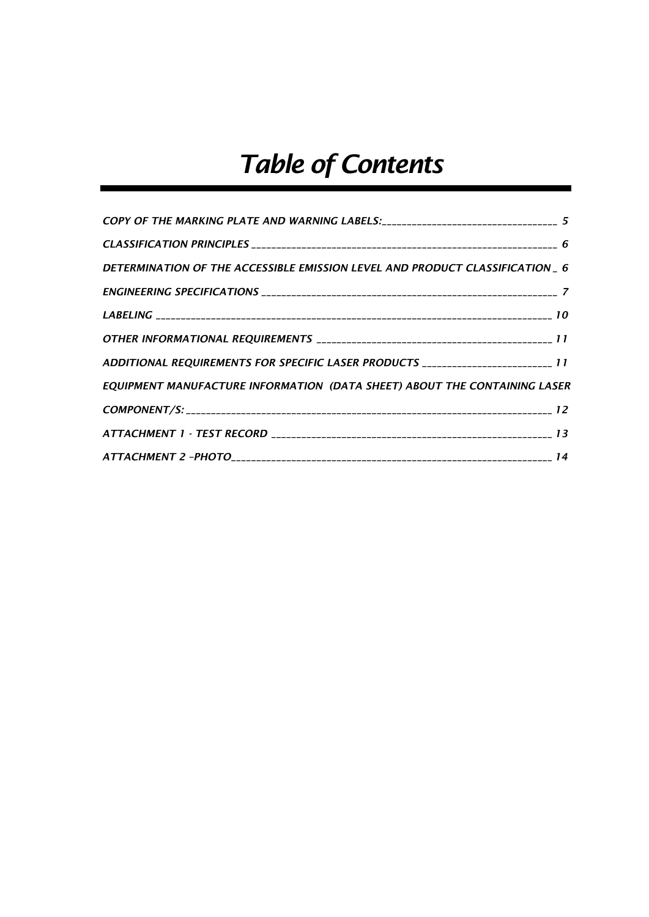# *Table of Contents*

| COPY OF THE MARKING PLATE AND WARNING LABELS: _________________________________ 5 |  |
|-----------------------------------------------------------------------------------|--|
|                                                                                   |  |
| DETERMINATION OF THE ACCESSIBLE EMISSION LEVEL AND PRODUCT CLASSIFICATION _ 6     |  |
|                                                                                   |  |
|                                                                                   |  |
|                                                                                   |  |
| ADDITIONAL REQUIREMENTS FOR SPECIFIC LASER PRODUCTS _______________________ 11    |  |
| EQUIPMENT MANUFACTURE INFORMATION (DATA SHEET) ABOUT THE CONTAINING LASER         |  |
|                                                                                   |  |
|                                                                                   |  |
|                                                                                   |  |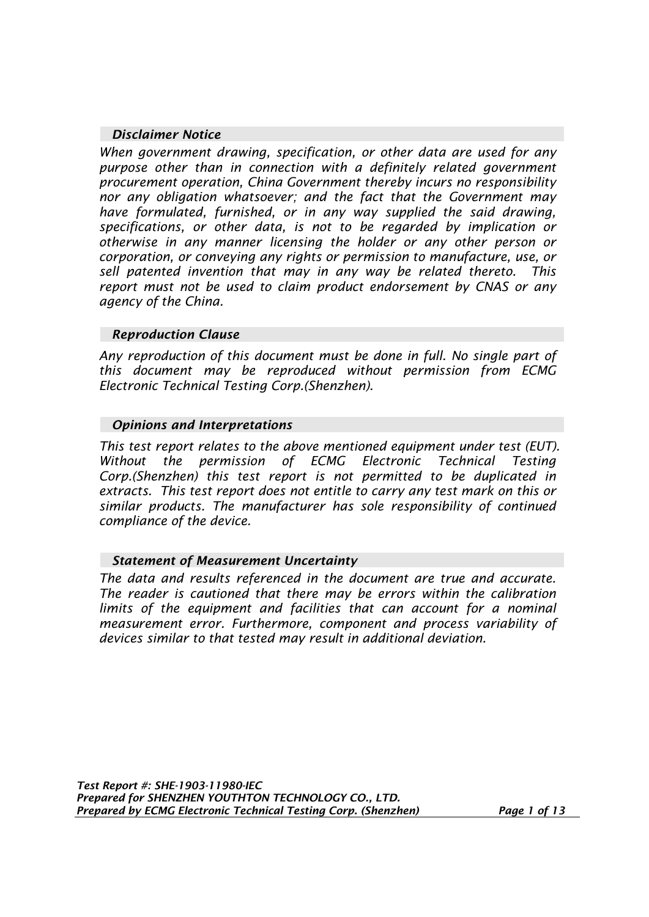## *Disclaimer Notice*

*When government drawing, specification, or other data are used for any purpose other than in connection with a definitely related government procurement operation, China Government thereby incurs no responsibility nor any obligation whatsoever; and the fact that the Government may have formulated, furnished, or in any way supplied the said drawing, specifications, or other data, is not to be regarded by implication or otherwise in any manner licensing the holder or any other person or corporation, or conveying any rights or permission to manufacture, use, or sell patented invention that may in any way be related thereto. This report must not be used to claim product endorsement by CNAS or any agency of the China.* 

## *Reproduction Clause*

*Any reproduction of this document must be done in full. No single part of this document may be reproduced without permission from ECMG Electronic Technical Testing Corp.(Shenzhen).* 

## *Opinions and Interpretations*

*This test report relates to the above mentioned equipment under test (EUT). Without the permission of ECMG Electronic Technical Testing Corp.(Shenzhen) this test report is not permitted to be duplicated in extracts. This test report does not entitle to carry any test mark on this or similar products. The manufacturer has sole responsibility of continued compliance of the device.* 

## *Statement of Measurement Uncertainty*

*The data and results referenced in the document are true and accurate. The reader is cautioned that there may be errors within the calibration*  limits of the equipment and facilities that can account for a nominal *measurement error. Furthermore, component and process variability of devices similar to that tested may result in additional deviation.*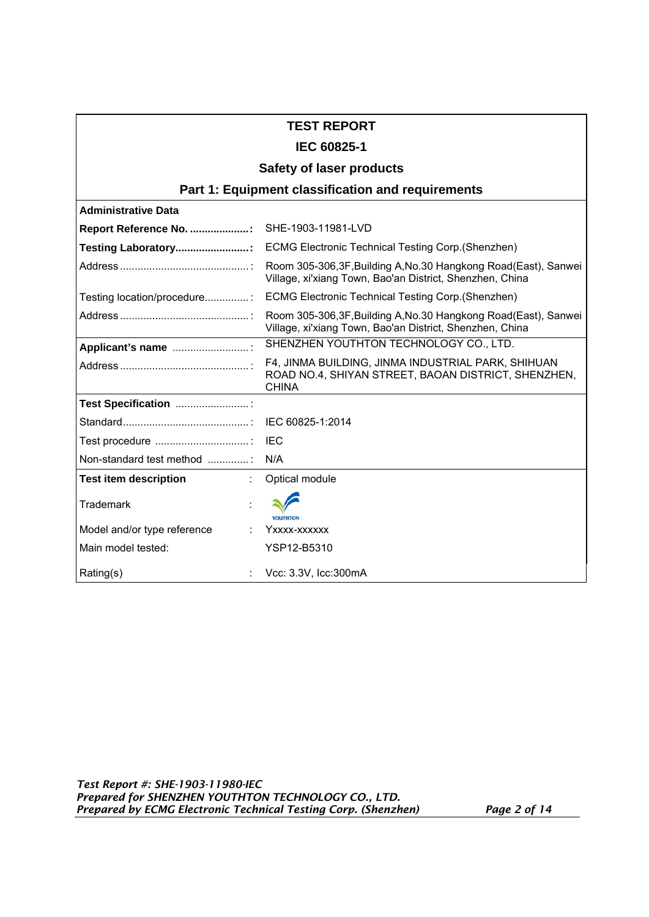## **TEST REPORT**

## **IEC 60825-1**

#### **Safety of laser products**

## **Part 1: Equipment classification and requirements**

| <b>Administrative Data</b>                |                                                                                                                               |
|-------------------------------------------|-------------------------------------------------------------------------------------------------------------------------------|
| Report Reference No. : SHE-1903-11981-LVD |                                                                                                                               |
| Testing Laboratory:                       | <b>ECMG Electronic Technical Testing Corp. (Shenzhen)</b>                                                                     |
|                                           | Room 305-306, 3F, Building A, No. 30 Hangkong Road (East), Sanwei<br>Village, xi'xiang Town, Bao'an District, Shenzhen, China |
| Testing location/procedure:               | <b>ECMG Electronic Technical Testing Corp. (Shenzhen)</b>                                                                     |
|                                           | Room 305-306,3F, Building A, No.30 Hangkong Road(East), Sanwei<br>Village, xi'xiang Town, Bao'an District, Shenzhen, China    |
| Applicant's name                          | SHENZHEN YOUTHTON TECHNOLOGY CO., LTD.                                                                                        |
|                                           | F4, JINMA BUILDING, JINMA INDUSTRIAL PARK, SHIHUAN<br>ROAD NO.4, SHIYAN STREET, BAOAN DISTRICT, SHENZHEN,<br><b>CHINA</b>     |
| Test Specification                        |                                                                                                                               |
|                                           | IEC 60825-1:2014                                                                                                              |
|                                           | IFC                                                                                                                           |
| Non-standard test method                  | N/A                                                                                                                           |
| <b>Test item description</b>              | Optical module                                                                                                                |
| Trademark                                 | <b>YOUTHTO!</b>                                                                                                               |
| Model and/or type reference               | Yxxxx-xxxxxx                                                                                                                  |
| Main model tested:                        | YSP12-B5310                                                                                                                   |
| Rating(s)                                 | Vcc: 3.3V, Icc: 300mA                                                                                                         |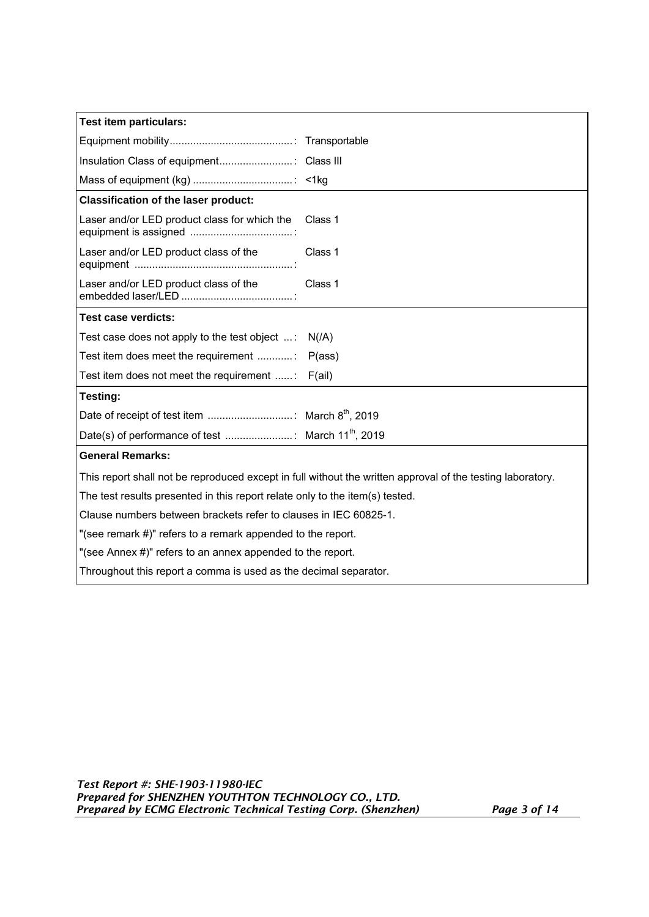| <b>Test item particulars:</b>                                                |                                                                                                            |  |
|------------------------------------------------------------------------------|------------------------------------------------------------------------------------------------------------|--|
|                                                                              |                                                                                                            |  |
|                                                                              |                                                                                                            |  |
|                                                                              |                                                                                                            |  |
| <b>Classification of the laser product:</b>                                  |                                                                                                            |  |
| Laser and/or LED product class for which the Class 1                         |                                                                                                            |  |
| Laser and/or LED product class of the                                        | Class 1                                                                                                    |  |
| Laser and/or LED product class of the                                        | Class 1                                                                                                    |  |
| <b>Test case verdicts:</b>                                                   |                                                                                                            |  |
| Test case does not apply to the test object :                                | N/(A)                                                                                                      |  |
| Test item does meet the requirement                                          | P(ass)                                                                                                     |  |
| Test item does not meet the requirement :                                    | F(ai)                                                                                                      |  |
| Testing:                                                                     |                                                                                                            |  |
|                                                                              |                                                                                                            |  |
|                                                                              |                                                                                                            |  |
| <b>General Remarks:</b>                                                      |                                                                                                            |  |
|                                                                              | This report shall not be reproduced except in full without the written approval of the testing laboratory. |  |
| The test results presented in this report relate only to the item(s) tested. |                                                                                                            |  |
| Clause numbers between brackets refer to clauses in IEC 60825-1.             |                                                                                                            |  |
| "(see remark #)" refers to a remark appended to the report.                  |                                                                                                            |  |
| "(see Annex #)" refers to an annex appended to the report.                   |                                                                                                            |  |
| Throughout this report a comma is used as the decimal separator.             |                                                                                                            |  |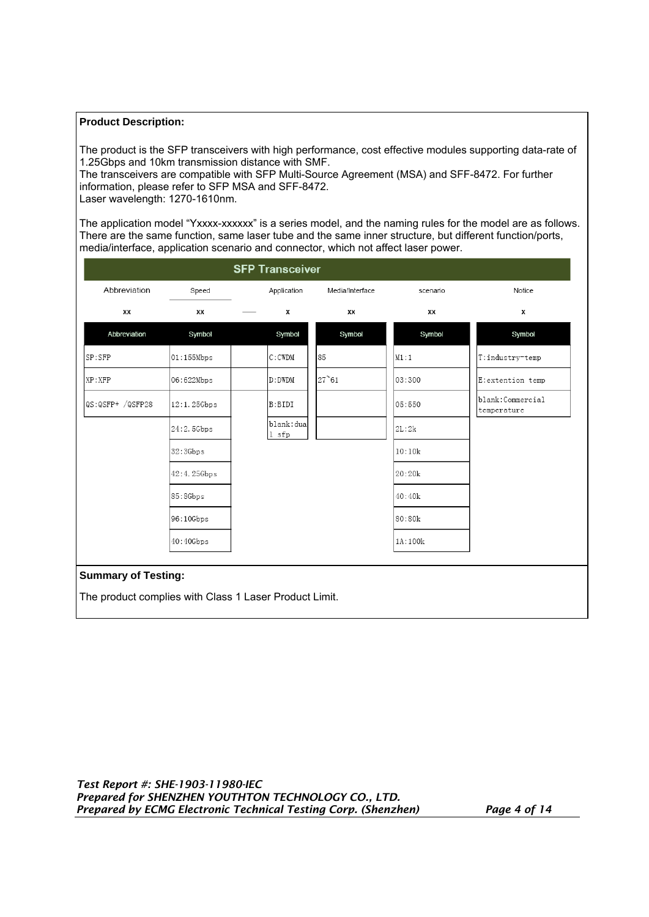#### **Product Description:**

The product is the SFP transceivers with high performance, cost effective modules supporting data-rate of 1.25Gbps and 10km transmission distance with SMF.

The transceivers are compatible with SFP Multi-Source Agreement (MSA) and SFF-8472. For further information, please refer to SFP MSA and SFF-8472.

Laser wavelength: 1270-1610nm.

The application model "Yxxxx-xxxxxx" is a series model, and the naming rules for the model are as follows. There are the same function, same laser tube and the same inner structure, but different function/ports, media/interface, application scenario and connector, which not affect laser power.

|                  |             | <b>SFP Transceiver</b> |                 |          |                                 |
|------------------|-------------|------------------------|-----------------|----------|---------------------------------|
| Abbreviation     | Speed       | Application            | Media/Interface | scenario | Notice                          |
| XX               | xх          | х                      | ХX              | xх       | Х                               |
| Abbreviation     | Symbol      | Symbol                 | Symbol          | Symbol   | Symbol                          |
| SP:SFP           | 01:155Mbps  | $C:$ CWDM              | 85              | M1:1     | T:industry-temp                 |
| XP:XFP           | 06:622Mbps  | D: DWDM                | $27^{\circ}61$  | 03:300   | E:extention temp                |
| QS:QSFP+ /QSFP28 | 12:1.25Gbps | B:BIDI                 |                 | 05:550   | blank:Commercial<br>temperature |
|                  | 24:2.5Gbps  | blank: dua<br>1 sfp    |                 | 2L:2k    |                                 |
|                  | 32:3Gbps    |                        |                 | 10:10k   |                                 |
|                  | 42:4.25Gbps |                        |                 | 20:20k   |                                 |
|                  | 85:8Gbps    |                        |                 | 40:40k   |                                 |
|                  | 96:10Gbps   |                        |                 | 80:80k   |                                 |
|                  |             |                        |                 | 1A:100k  |                                 |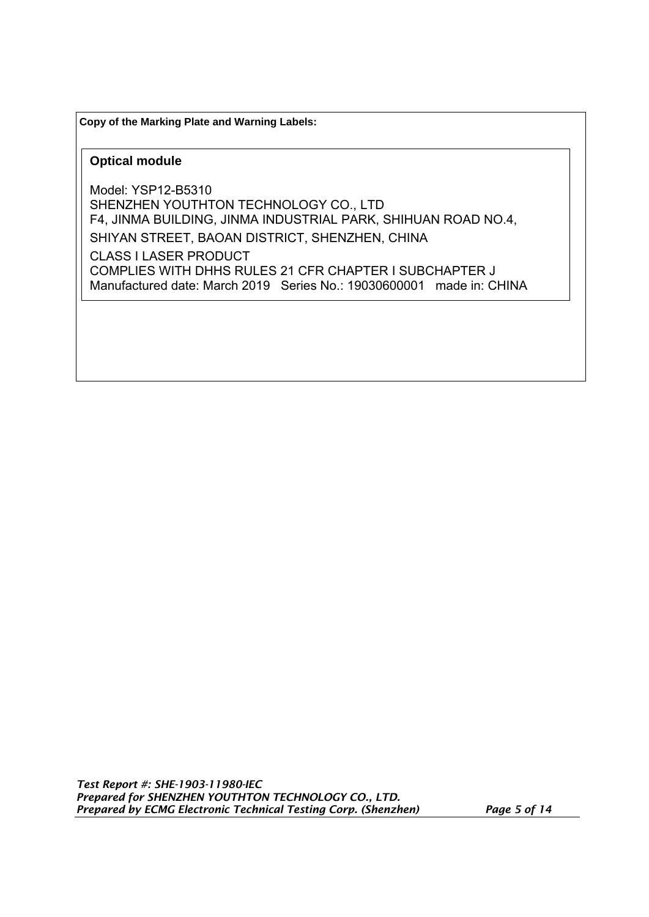**Copy of the Marking Plate and Warning Labels:** 

#### **Optical module**

Model: YSP12-B5310 SHENZHEN YOUTHTON TECHNOLOGY CO., LTD F4, JINMA BUILDING, JINMA INDUSTRIAL PARK, SHIHUAN ROAD NO.4, SHIYAN STREET, BAOAN DISTRICT, SHENZHEN, CHINA CLASS I LASER PRODUCT COMPLIES WITH DHHS RULES 21 CFR CHAPTER I SUBCHAPTER J Manufactured date: March 2019 Series No.: 19030600001 made in: CHINA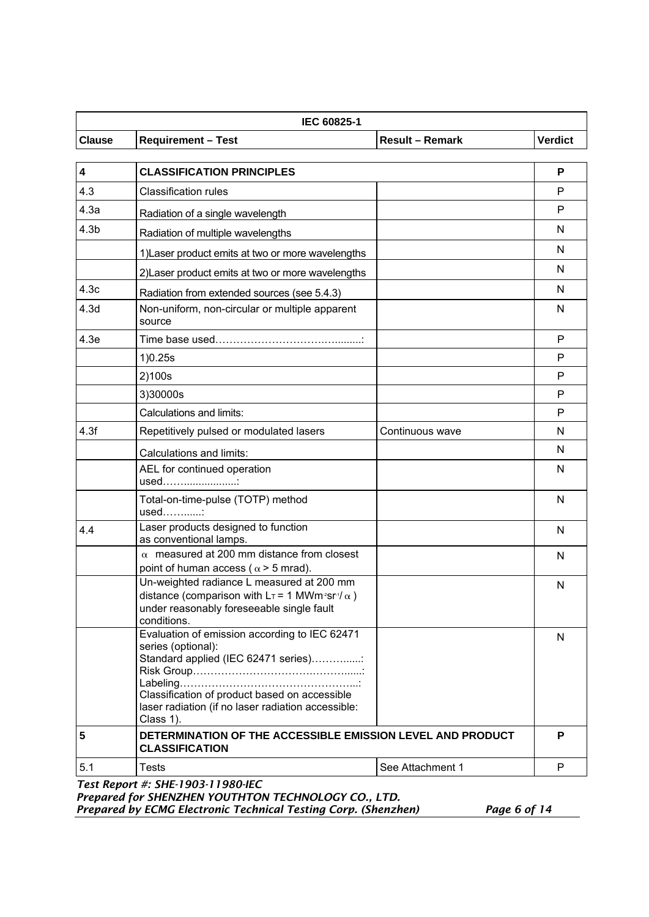| <b>Result - Remark</b><br><b>Verdict</b><br><b>Clause</b><br><b>Requirement - Test</b><br>$\overline{\mathbf{4}}$<br><b>CLASSIFICATION PRINCIPLES</b><br>P<br>4.3<br><b>Classification rules</b><br>P<br>4.3a<br>P<br>Radiation of a single wavelength<br>4.3 <sub>b</sub><br>N<br>Radiation of multiple wavelengths<br>N<br>1) Laser product emits at two or more wavelengths<br>N<br>2) Laser product emits at two or more wavelengths<br>N<br>Radiation from extended sources (see 5.4.3)<br>Non-uniform, non-circular or multiple apparent<br>N<br>source<br>4.3e<br>P<br>P<br>1) 0.25s<br>2)100s<br>P<br>3)30000s<br>P<br>Calculations and limits:<br>P<br>4.3f<br>Repetitively pulsed or modulated lasers<br>Continuous wave<br>N<br>N<br>Calculations and limits:<br>AEL for continued operation<br>N<br>used:<br>Total-on-time-pulse (TOTP) method<br>N<br>used:<br>Laser products designed to function<br>N<br>as conventional lamps.<br>$\alpha$ measured at 200 mm distance from closest<br>N<br>point of human access ( $\alpha$ > 5 mrad).<br>Un-weighted radiance L measured at 200 mm<br>N<br>distance (comparison with $L_T = 1$ MWm <sup>2</sup> sr <sup>-1</sup> / $\alpha$ )<br>under reasonably foreseeable single fault<br>conditions.<br>Evaluation of emission according to IEC 62471<br>N<br>series (optional):<br>Standard applied (IEC 62471 series)<br>Classification of product based on accessible<br>laser radiation (if no laser radiation accessible:<br>Class 1).<br>5<br>DETERMINATION OF THE ACCESSIBLE EMISSION LEVEL AND PRODUCT<br>P<br><b>CLASSIFICATION</b><br>5.1<br>See Attachment 1<br>P<br><b>Tests</b> | IEC 60825-1 |  |  |  |
|-----------------------------------------------------------------------------------------------------------------------------------------------------------------------------------------------------------------------------------------------------------------------------------------------------------------------------------------------------------------------------------------------------------------------------------------------------------------------------------------------------------------------------------------------------------------------------------------------------------------------------------------------------------------------------------------------------------------------------------------------------------------------------------------------------------------------------------------------------------------------------------------------------------------------------------------------------------------------------------------------------------------------------------------------------------------------------------------------------------------------------------------------------------------------------------------------------------------------------------------------------------------------------------------------------------------------------------------------------------------------------------------------------------------------------------------------------------------------------------------------------------------------------------------------------------------------------------------------------------------------------------------------------|-------------|--|--|--|
|                                                                                                                                                                                                                                                                                                                                                                                                                                                                                                                                                                                                                                                                                                                                                                                                                                                                                                                                                                                                                                                                                                                                                                                                                                                                                                                                                                                                                                                                                                                                                                                                                                                     |             |  |  |  |
|                                                                                                                                                                                                                                                                                                                                                                                                                                                                                                                                                                                                                                                                                                                                                                                                                                                                                                                                                                                                                                                                                                                                                                                                                                                                                                                                                                                                                                                                                                                                                                                                                                                     |             |  |  |  |
|                                                                                                                                                                                                                                                                                                                                                                                                                                                                                                                                                                                                                                                                                                                                                                                                                                                                                                                                                                                                                                                                                                                                                                                                                                                                                                                                                                                                                                                                                                                                                                                                                                                     |             |  |  |  |
|                                                                                                                                                                                                                                                                                                                                                                                                                                                                                                                                                                                                                                                                                                                                                                                                                                                                                                                                                                                                                                                                                                                                                                                                                                                                                                                                                                                                                                                                                                                                                                                                                                                     |             |  |  |  |
|                                                                                                                                                                                                                                                                                                                                                                                                                                                                                                                                                                                                                                                                                                                                                                                                                                                                                                                                                                                                                                                                                                                                                                                                                                                                                                                                                                                                                                                                                                                                                                                                                                                     |             |  |  |  |
|                                                                                                                                                                                                                                                                                                                                                                                                                                                                                                                                                                                                                                                                                                                                                                                                                                                                                                                                                                                                                                                                                                                                                                                                                                                                                                                                                                                                                                                                                                                                                                                                                                                     |             |  |  |  |
|                                                                                                                                                                                                                                                                                                                                                                                                                                                                                                                                                                                                                                                                                                                                                                                                                                                                                                                                                                                                                                                                                                                                                                                                                                                                                                                                                                                                                                                                                                                                                                                                                                                     |             |  |  |  |
|                                                                                                                                                                                                                                                                                                                                                                                                                                                                                                                                                                                                                                                                                                                                                                                                                                                                                                                                                                                                                                                                                                                                                                                                                                                                                                                                                                                                                                                                                                                                                                                                                                                     |             |  |  |  |
|                                                                                                                                                                                                                                                                                                                                                                                                                                                                                                                                                                                                                                                                                                                                                                                                                                                                                                                                                                                                                                                                                                                                                                                                                                                                                                                                                                                                                                                                                                                                                                                                                                                     | 4.3c        |  |  |  |
|                                                                                                                                                                                                                                                                                                                                                                                                                                                                                                                                                                                                                                                                                                                                                                                                                                                                                                                                                                                                                                                                                                                                                                                                                                                                                                                                                                                                                                                                                                                                                                                                                                                     | 4.3d        |  |  |  |
|                                                                                                                                                                                                                                                                                                                                                                                                                                                                                                                                                                                                                                                                                                                                                                                                                                                                                                                                                                                                                                                                                                                                                                                                                                                                                                                                                                                                                                                                                                                                                                                                                                                     |             |  |  |  |
|                                                                                                                                                                                                                                                                                                                                                                                                                                                                                                                                                                                                                                                                                                                                                                                                                                                                                                                                                                                                                                                                                                                                                                                                                                                                                                                                                                                                                                                                                                                                                                                                                                                     |             |  |  |  |
|                                                                                                                                                                                                                                                                                                                                                                                                                                                                                                                                                                                                                                                                                                                                                                                                                                                                                                                                                                                                                                                                                                                                                                                                                                                                                                                                                                                                                                                                                                                                                                                                                                                     |             |  |  |  |
|                                                                                                                                                                                                                                                                                                                                                                                                                                                                                                                                                                                                                                                                                                                                                                                                                                                                                                                                                                                                                                                                                                                                                                                                                                                                                                                                                                                                                                                                                                                                                                                                                                                     |             |  |  |  |
|                                                                                                                                                                                                                                                                                                                                                                                                                                                                                                                                                                                                                                                                                                                                                                                                                                                                                                                                                                                                                                                                                                                                                                                                                                                                                                                                                                                                                                                                                                                                                                                                                                                     |             |  |  |  |
|                                                                                                                                                                                                                                                                                                                                                                                                                                                                                                                                                                                                                                                                                                                                                                                                                                                                                                                                                                                                                                                                                                                                                                                                                                                                                                                                                                                                                                                                                                                                                                                                                                                     |             |  |  |  |
|                                                                                                                                                                                                                                                                                                                                                                                                                                                                                                                                                                                                                                                                                                                                                                                                                                                                                                                                                                                                                                                                                                                                                                                                                                                                                                                                                                                                                                                                                                                                                                                                                                                     |             |  |  |  |
|                                                                                                                                                                                                                                                                                                                                                                                                                                                                                                                                                                                                                                                                                                                                                                                                                                                                                                                                                                                                                                                                                                                                                                                                                                                                                                                                                                                                                                                                                                                                                                                                                                                     |             |  |  |  |
|                                                                                                                                                                                                                                                                                                                                                                                                                                                                                                                                                                                                                                                                                                                                                                                                                                                                                                                                                                                                                                                                                                                                                                                                                                                                                                                                                                                                                                                                                                                                                                                                                                                     |             |  |  |  |
|                                                                                                                                                                                                                                                                                                                                                                                                                                                                                                                                                                                                                                                                                                                                                                                                                                                                                                                                                                                                                                                                                                                                                                                                                                                                                                                                                                                                                                                                                                                                                                                                                                                     |             |  |  |  |
|                                                                                                                                                                                                                                                                                                                                                                                                                                                                                                                                                                                                                                                                                                                                                                                                                                                                                                                                                                                                                                                                                                                                                                                                                                                                                                                                                                                                                                                                                                                                                                                                                                                     | 4.4         |  |  |  |
|                                                                                                                                                                                                                                                                                                                                                                                                                                                                                                                                                                                                                                                                                                                                                                                                                                                                                                                                                                                                                                                                                                                                                                                                                                                                                                                                                                                                                                                                                                                                                                                                                                                     |             |  |  |  |
|                                                                                                                                                                                                                                                                                                                                                                                                                                                                                                                                                                                                                                                                                                                                                                                                                                                                                                                                                                                                                                                                                                                                                                                                                                                                                                                                                                                                                                                                                                                                                                                                                                                     |             |  |  |  |
|                                                                                                                                                                                                                                                                                                                                                                                                                                                                                                                                                                                                                                                                                                                                                                                                                                                                                                                                                                                                                                                                                                                                                                                                                                                                                                                                                                                                                                                                                                                                                                                                                                                     |             |  |  |  |
|                                                                                                                                                                                                                                                                                                                                                                                                                                                                                                                                                                                                                                                                                                                                                                                                                                                                                                                                                                                                                                                                                                                                                                                                                                                                                                                                                                                                                                                                                                                                                                                                                                                     |             |  |  |  |
|                                                                                                                                                                                                                                                                                                                                                                                                                                                                                                                                                                                                                                                                                                                                                                                                                                                                                                                                                                                                                                                                                                                                                                                                                                                                                                                                                                                                                                                                                                                                                                                                                                                     |             |  |  |  |
|                                                                                                                                                                                                                                                                                                                                                                                                                                                                                                                                                                                                                                                                                                                                                                                                                                                                                                                                                                                                                                                                                                                                                                                                                                                                                                                                                                                                                                                                                                                                                                                                                                                     |             |  |  |  |

*Prepared for SHENZHEN YOUTHTON TECHNOLOGY CO., LTD. Prepared by ECMG Electronic Technical Testing Corp. (Shenzhen) Page 6 of 14*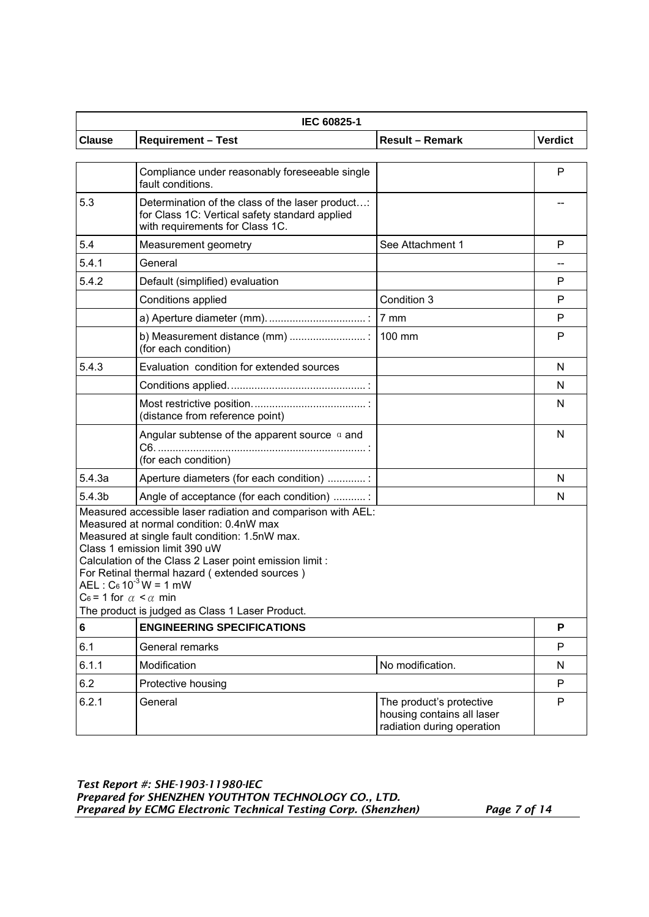|                                     | IEC 60825-1                                                                                                                                                                                                                                                                                                                                                                               |                                                                                      |                |  |  |
|-------------------------------------|-------------------------------------------------------------------------------------------------------------------------------------------------------------------------------------------------------------------------------------------------------------------------------------------------------------------------------------------------------------------------------------------|--------------------------------------------------------------------------------------|----------------|--|--|
| <b>Clause</b>                       | <b>Requirement - Test</b>                                                                                                                                                                                                                                                                                                                                                                 | <b>Result - Remark</b>                                                               | <b>Verdict</b> |  |  |
|                                     | Compliance under reasonably foreseeable single<br>fault conditions.                                                                                                                                                                                                                                                                                                                       |                                                                                      | P              |  |  |
| 5.3                                 | Determination of the class of the laser product:<br>for Class 1C: Vertical safety standard applied<br>with requirements for Class 1C.                                                                                                                                                                                                                                                     |                                                                                      |                |  |  |
| 5.4                                 | Measurement geometry                                                                                                                                                                                                                                                                                                                                                                      | See Attachment 1                                                                     | P              |  |  |
| 5.4.1                               | General                                                                                                                                                                                                                                                                                                                                                                                   |                                                                                      |                |  |  |
| 5.4.2                               | Default (simplified) evaluation                                                                                                                                                                                                                                                                                                                                                           |                                                                                      | P              |  |  |
|                                     | Conditions applied                                                                                                                                                                                                                                                                                                                                                                        | Condition 3                                                                          | P              |  |  |
|                                     |                                                                                                                                                                                                                                                                                                                                                                                           |                                                                                      | P              |  |  |
|                                     | (for each condition)                                                                                                                                                                                                                                                                                                                                                                      |                                                                                      | P              |  |  |
| 5.4.3                               | Evaluation condition for extended sources                                                                                                                                                                                                                                                                                                                                                 |                                                                                      | N              |  |  |
|                                     |                                                                                                                                                                                                                                                                                                                                                                                           |                                                                                      | N              |  |  |
|                                     | (distance from reference point)                                                                                                                                                                                                                                                                                                                                                           |                                                                                      | N              |  |  |
|                                     | Angular subtense of the apparent source $\alpha$ and<br>(for each condition)                                                                                                                                                                                                                                                                                                              |                                                                                      | N              |  |  |
| 5.4.3a                              | Aperture diameters (for each condition) :                                                                                                                                                                                                                                                                                                                                                 |                                                                                      | N              |  |  |
| 5.4.3 <sub>b</sub>                  | Angle of acceptance (for each condition) :                                                                                                                                                                                                                                                                                                                                                |                                                                                      | N              |  |  |
| $C_6$ = 1 for $\alpha < \alpha$ min | Measured accessible laser radiation and comparison with AEL:<br>Measured at normal condition: 0.4nW max<br>Measured at single fault condition: 1.5nW max.<br>Class 1 emission limit 390 uW<br>Calculation of the Class 2 Laser point emission limit :<br>For Retinal thermal hazard (extended sources)<br>$AEL : C_6 10^{-3} W = 1 mW$<br>The product is judged as Class 1 Laser Product. |                                                                                      |                |  |  |
| $\bf 6$                             | <b>ENGINEERING SPECIFICATIONS</b>                                                                                                                                                                                                                                                                                                                                                         |                                                                                      | P              |  |  |
| 6.1                                 | General remarks                                                                                                                                                                                                                                                                                                                                                                           |                                                                                      | P              |  |  |
| 6.1.1                               | Modification                                                                                                                                                                                                                                                                                                                                                                              | No modification.                                                                     | N              |  |  |
| 6.2                                 | Protective housing                                                                                                                                                                                                                                                                                                                                                                        |                                                                                      | P              |  |  |
| 6.2.1                               | General                                                                                                                                                                                                                                                                                                                                                                                   | The product's protective<br>housing contains all laser<br>radiation during operation | P              |  |  |

*Test Report #: SHE-1903-11980-IEC Prepared for SHENZHEN YOUTHTON TECHNOLOGY CO., LTD. Prepared by ECMG Electronic Technical Testing Corp. (Shenzhen) Page 7 of 14*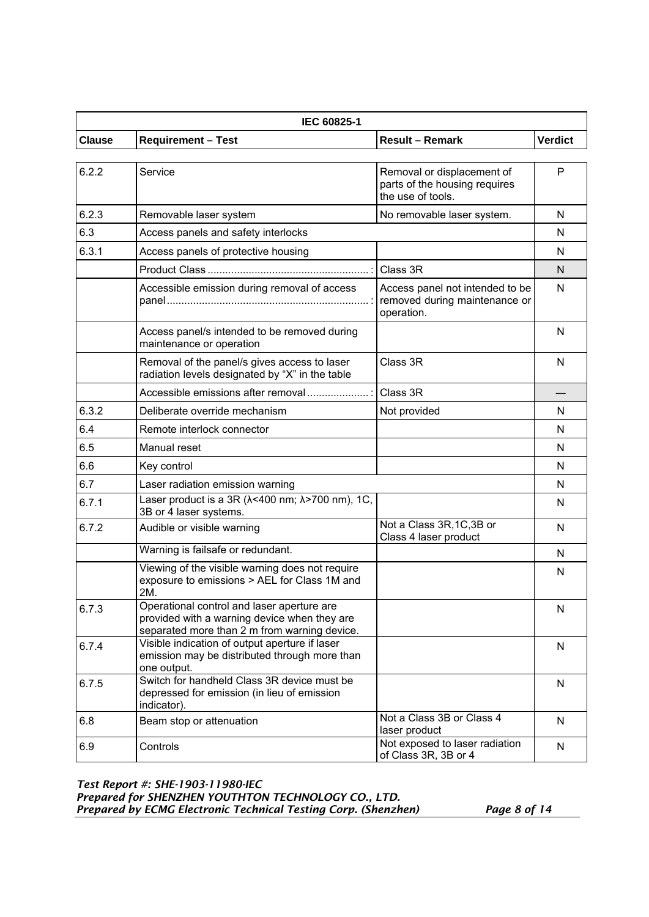| IEC 60825-1   |                                                                                                                                            |                                                                                  |                |
|---------------|--------------------------------------------------------------------------------------------------------------------------------------------|----------------------------------------------------------------------------------|----------------|
| <b>Clause</b> | <b>Requirement - Test</b>                                                                                                                  | <b>Result - Remark</b>                                                           | <b>Verdict</b> |
|               |                                                                                                                                            |                                                                                  |                |
| 6.2.2         | Service                                                                                                                                    | Removal or displacement of<br>parts of the housing requires<br>the use of tools. | P              |
| 6.2.3         | Removable laser system                                                                                                                     | No removable laser system.                                                       | N              |
| 6.3           | Access panels and safety interlocks                                                                                                        |                                                                                  | N              |
| 6.3.1         | Access panels of protective housing                                                                                                        |                                                                                  | N              |
|               |                                                                                                                                            | Class 3R                                                                         | N              |
|               | Accessible emission during removal of access                                                                                               | Access panel not intended to be<br>removed during maintenance or<br>operation.   | N              |
|               | Access panel/s intended to be removed during<br>maintenance or operation                                                                   |                                                                                  | N              |
|               | Removal of the panel/s gives access to laser<br>radiation levels designated by "X" in the table                                            | Class 3R                                                                         | N              |
|               | Accessible emissions after removal                                                                                                         | Class 3R                                                                         |                |
| 6.3.2         | Deliberate override mechanism                                                                                                              | Not provided                                                                     | N              |
| 6.4           | Remote interlock connector                                                                                                                 |                                                                                  | N              |
| 6.5           | Manual reset                                                                                                                               |                                                                                  | N              |
| 6.6           | Key control                                                                                                                                |                                                                                  | N              |
| 6.7           | Laser radiation emission warning                                                                                                           |                                                                                  | N              |
| 6.7.1         | Laser product is a 3R ( $\lambda$ <400 nm; $\lambda$ >700 nm), 1C,<br>3B or 4 laser systems.                                               |                                                                                  | N              |
| 6.7.2         | Audible or visible warning                                                                                                                 | Not a Class 3R, 1C, 3B or<br>Class 4 laser product                               | N              |
|               | Warning is failsafe or redundant.                                                                                                          |                                                                                  | N              |
|               | Viewing of the visible warning does not require<br>exposure to emissions > AEL for Class 1M and<br>2M.                                     |                                                                                  | N              |
| 6.7.3         | Operational control and laser aperture are<br>provided with a warning device when they are<br>separated more than 2 m from warning device. |                                                                                  | N              |
| 6.7.4         | Visible indication of output aperture if laser<br>emission may be distributed through more than<br>one output.                             |                                                                                  | N              |
| 6.7.5         | Switch for handheld Class 3R device must be<br>depressed for emission (in lieu of emission<br>indicator).                                  |                                                                                  | N              |
| 6.8           | Beam stop or attenuation                                                                                                                   | Not a Class 3B or Class 4<br>laser product                                       | N              |
| 6.9           | Controls                                                                                                                                   | Not exposed to laser radiation<br>of Class 3R, 3B or 4                           | N              |

*Test Report #: SHE-1903-11980-IEC Prepared for SHENZHEN YOUTHTON TECHNOLOGY CO., LTD. Prepared by ECMG Electronic Technical Testing Corp. (Shenzhen) Page 8 of 14*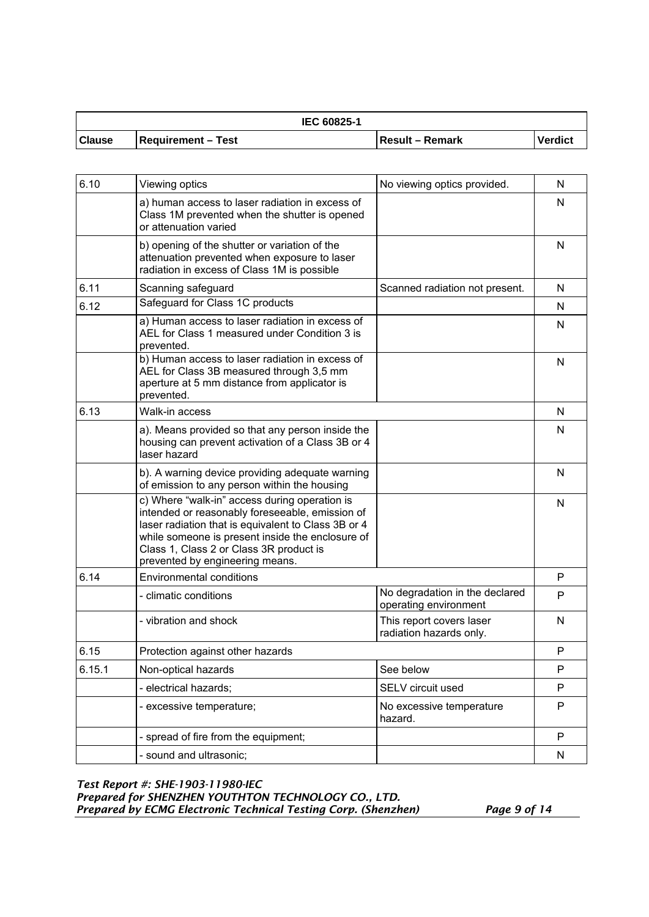| <b>IEC 60825-1</b> |                           |                  |                |
|--------------------|---------------------------|------------------|----------------|
| <b>Clause</b>      | <b>Requirement - Test</b> | ∣Result – Remark | <b>Verdict</b> |

| 6.10   | Viewing optics                                                                                                                                                                                                                                                                            | No viewing optics provided.                             | N         |
|--------|-------------------------------------------------------------------------------------------------------------------------------------------------------------------------------------------------------------------------------------------------------------------------------------------|---------------------------------------------------------|-----------|
|        | a) human access to laser radiation in excess of<br>Class 1M prevented when the shutter is opened<br>or attenuation varied                                                                                                                                                                 |                                                         | N         |
|        | b) opening of the shutter or variation of the<br>attenuation prevented when exposure to laser<br>radiation in excess of Class 1M is possible                                                                                                                                              |                                                         | N         |
| 6.11   | Scanning safeguard                                                                                                                                                                                                                                                                        | Scanned radiation not present.                          | N         |
| 6.12   | Safeguard for Class 1C products                                                                                                                                                                                                                                                           |                                                         | N         |
|        | a) Human access to laser radiation in excess of<br>AEL for Class 1 measured under Condition 3 is<br>prevented.                                                                                                                                                                            |                                                         | N         |
|        | b) Human access to laser radiation in excess of<br>AEL for Class 3B measured through 3,5 mm<br>aperture at 5 mm distance from applicator is<br>prevented.                                                                                                                                 |                                                         | N         |
| 6.13   | Walk-in access                                                                                                                                                                                                                                                                            |                                                         | N         |
|        | a). Means provided so that any person inside the<br>housing can prevent activation of a Class 3B or 4<br>laser hazard                                                                                                                                                                     |                                                         | N         |
|        | b). A warning device providing adequate warning<br>of emission to any person within the housing                                                                                                                                                                                           |                                                         | N         |
|        | c) Where "walk-in" access during operation is<br>intended or reasonably foreseeable, emission of<br>laser radiation that is equivalent to Class 3B or 4<br>while someone is present inside the enclosure of<br>Class 1, Class 2 or Class 3R product is<br>prevented by engineering means. |                                                         | N         |
| 6.14   | <b>Environmental conditions</b>                                                                                                                                                                                                                                                           |                                                         | P         |
|        | - climatic conditions                                                                                                                                                                                                                                                                     | No degradation in the declared<br>operating environment | P         |
|        | - vibration and shock                                                                                                                                                                                                                                                                     | This report covers laser<br>radiation hazards only.     | N         |
| 6.15   | Protection against other hazards                                                                                                                                                                                                                                                          |                                                         | P         |
| 6.15.1 | Non-optical hazards                                                                                                                                                                                                                                                                       | See below                                               | P         |
|        | - electrical hazards;                                                                                                                                                                                                                                                                     | SELV circuit used                                       | P         |
|        | - excessive temperature;                                                                                                                                                                                                                                                                  | No excessive temperature<br>hazard.                     | ${\sf P}$ |
|        | - spread of fire from the equipment;                                                                                                                                                                                                                                                      |                                                         | P         |
|        | - sound and ultrasonic;                                                                                                                                                                                                                                                                   |                                                         | N         |

*Test Report #: SHE-1903-11980-IEC Prepared for SHENZHEN YOUTHTON TECHNOLOGY CO., LTD. Prepared by ECMG Electronic Technical Testing Corp. (Shenzhen) Page 9 of 14*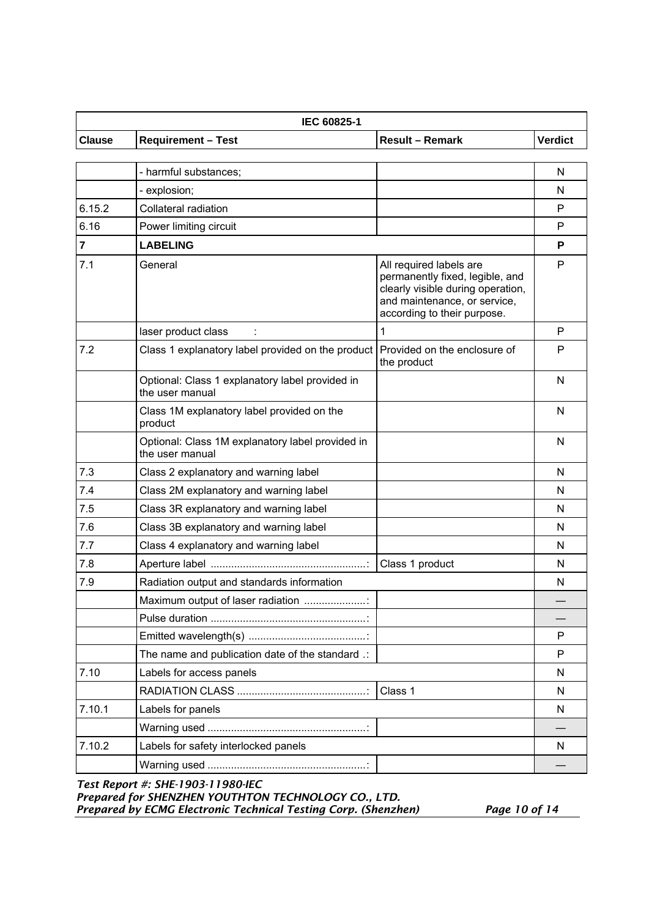| <b>IEC 60825-1</b> |                           |                        |                |
|--------------------|---------------------------|------------------------|----------------|
| <b>Clause</b>      | <b>Requirement - Test</b> | <b>Result – Remark</b> | <b>Verdict</b> |

|                         | - harmful substances;                                               |                                                                                                                                                                | N |
|-------------------------|---------------------------------------------------------------------|----------------------------------------------------------------------------------------------------------------------------------------------------------------|---|
|                         | - explosion;                                                        |                                                                                                                                                                | N |
| 6.15.2                  | Collateral radiation                                                |                                                                                                                                                                | P |
| 6.16                    | Power limiting circuit                                              |                                                                                                                                                                | P |
| $\overline{\mathbf{r}}$ | <b>LABELING</b>                                                     |                                                                                                                                                                | P |
| 7.1                     | General                                                             | All required labels are<br>permanently fixed, legible, and<br>clearly visible during operation,<br>and maintenance, or service,<br>according to their purpose. | P |
|                         | laser product class                                                 | 1                                                                                                                                                              | P |
| 7.2                     | Class 1 explanatory label provided on the product                   | Provided on the enclosure of<br>the product                                                                                                                    | P |
|                         | Optional: Class 1 explanatory label provided in<br>the user manual  |                                                                                                                                                                | N |
|                         | Class 1M explanatory label provided on the<br>product               |                                                                                                                                                                | N |
|                         | Optional: Class 1M explanatory label provided in<br>the user manual |                                                                                                                                                                | N |
| 7.3                     | Class 2 explanatory and warning label                               |                                                                                                                                                                | N |
| 7.4                     | Class 2M explanatory and warning label                              |                                                                                                                                                                | N |
| 7.5                     | Class 3R explanatory and warning label                              |                                                                                                                                                                | N |
| 7.6                     | Class 3B explanatory and warning label                              |                                                                                                                                                                | N |
| 7.7                     | Class 4 explanatory and warning label                               |                                                                                                                                                                | N |
| 7.8                     |                                                                     | Class 1 product                                                                                                                                                | N |
| 7.9                     | Radiation output and standards information                          |                                                                                                                                                                | N |
|                         | Maximum output of laser radiation                                   |                                                                                                                                                                |   |
|                         |                                                                     |                                                                                                                                                                |   |
|                         |                                                                     |                                                                                                                                                                | P |
|                         | The name and publication date of the standard .:                    |                                                                                                                                                                | P |
| 7.10                    | Labels for access panels                                            |                                                                                                                                                                | N |
|                         |                                                                     | Class 1                                                                                                                                                        | N |
| 7.10.1                  | Labels for panels                                                   |                                                                                                                                                                | N |
|                         |                                                                     |                                                                                                                                                                |   |
| 7.10.2                  | Labels for safety interlocked panels                                |                                                                                                                                                                | N |
|                         |                                                                     |                                                                                                                                                                |   |

*Test Report #: SHE-1903-11980-IEC Prepared for SHENZHEN YOUTHTON TECHNOLOGY CO., LTD. Prepared by ECMG Electronic Technical Testing Corp. (Shenzhen) Page 10 of 14*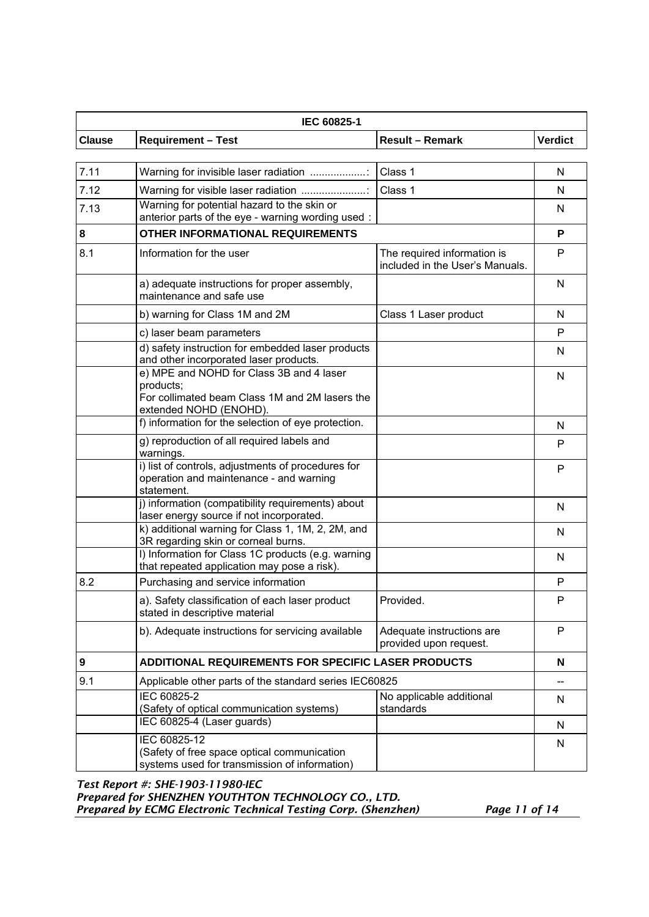| IEC 60825-1      |                                                                                                                                   |                                                                |                |
|------------------|-----------------------------------------------------------------------------------------------------------------------------------|----------------------------------------------------------------|----------------|
| <b>Clause</b>    | <b>Requirement - Test</b>                                                                                                         | <b>Result - Remark</b>                                         | <b>Verdict</b> |
|                  |                                                                                                                                   |                                                                |                |
| 7.11             | Warning for invisible laser radiation                                                                                             | Class 1                                                        | N              |
| 7.12             | Warning for visible laser radiation                                                                                               | Class 1                                                        | N              |
| 7.13             | Warning for potential hazard to the skin or<br>anterior parts of the eye - warning wording used:                                  |                                                                | N              |
| $\bf 8$          | <b>OTHER INFORMATIONAL REQUIREMENTS</b>                                                                                           |                                                                | P              |
| 8.1              | Information for the user                                                                                                          | The required information is<br>included in the User's Manuals. | P              |
|                  | a) adequate instructions for proper assembly,<br>maintenance and safe use                                                         |                                                                | N              |
|                  | b) warning for Class 1M and 2M                                                                                                    | Class 1 Laser product                                          | N              |
|                  | c) laser beam parameters                                                                                                          |                                                                | P              |
|                  | d) safety instruction for embedded laser products<br>and other incorporated laser products.                                       |                                                                | N              |
|                  | e) MPE and NOHD for Class 3B and 4 laser<br>products;<br>For collimated beam Class 1M and 2M lasers the<br>extended NOHD (ENOHD). |                                                                | N              |
|                  | f) information for the selection of eye protection.                                                                               |                                                                | N              |
|                  | g) reproduction of all required labels and<br>warnings.                                                                           |                                                                | P              |
|                  | i) list of controls, adjustments of procedures for<br>operation and maintenance - and warning<br>statement.                       |                                                                | P              |
|                  | j) information (compatibility requirements) about<br>laser energy source if not incorporated.                                     |                                                                | N              |
|                  | k) additional warning for Class 1, 1M, 2, 2M, and<br>3R regarding skin or corneal burns.                                          |                                                                | N              |
|                  | I) Information for Class 1C products (e.g. warning<br>that repeated application may pose a risk).                                 |                                                                | N              |
| 8.2              | Purchasing and service information                                                                                                |                                                                | P              |
|                  | a). Safety classification of each laser product<br>stated in descriptive material                                                 | Provided.                                                      | P              |
|                  | b). Adequate instructions for servicing available                                                                                 | Adequate instructions are<br>provided upon request.            | P              |
| $\boldsymbol{9}$ | ADDITIONAL REQUIREMENTS FOR SPECIFIC LASER PRODUCTS                                                                               |                                                                | N              |
| 9.1              | Applicable other parts of the standard series IEC60825                                                                            |                                                                |                |
|                  | IEC 60825-2<br>(Safety of optical communication systems)                                                                          | No applicable additional<br>standards                          | N              |
|                  | IEC 60825-4 (Laser guards)                                                                                                        |                                                                | N              |
|                  | IEC 60825-12<br>(Safety of free space optical communication<br>systems used for transmission of information)                      |                                                                | N              |

*Test Report #: SHE-1903-11980-IEC Prepared for SHENZHEN YOUTHTON TECHNOLOGY CO., LTD. Prepared by ECMG Electronic Technical Testing Corp. (Shenzhen) Page 11 of 14*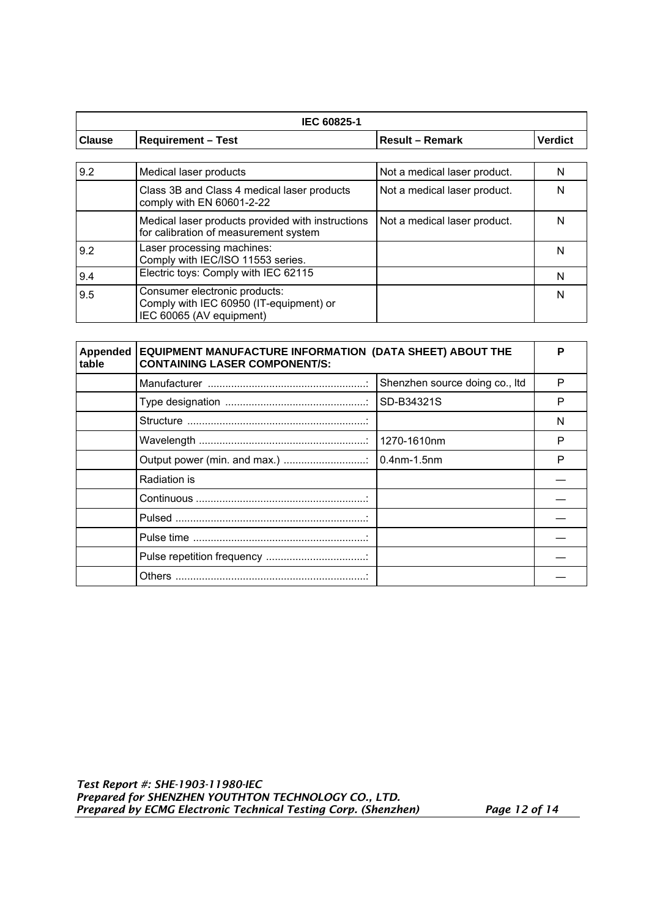| IEC 60825-1   |                                                                                                      |                              |                |
|---------------|------------------------------------------------------------------------------------------------------|------------------------------|----------------|
| <b>Clause</b> | <b>Requirement - Test</b>                                                                            | <b>Result - Remark</b>       | <b>Verdict</b> |
|               |                                                                                                      |                              |                |
| 9.2           | Medical laser products                                                                               | Not a medical laser product. | N              |
|               | Class 3B and Class 4 medical laser products<br>comply with EN 60601-2-22                             | Not a medical laser product. | N              |
|               | Medical laser products provided with instructions<br>for calibration of measurement system           | Not a medical laser product. | N              |
| 9.2           | Laser processing machines:<br>Comply with IEC/ISO 11553 series.                                      |                              | N              |
| 9.4           | Electric toys: Comply with IEC 62115                                                                 |                              | N              |
| 9.5           | Consumer electronic products:<br>Comply with IEC 60950 (IT-equipment) or<br>IEC 60065 (AV equipment) |                              | N              |

| <b>Appended</b><br>table | EQUIPMENT MANUFACTURE INFORMATION (DATA SHEET) ABOUT THE<br><b>CONTAINING LASER COMPONENT/S:</b> |                                | D |
|--------------------------|--------------------------------------------------------------------------------------------------|--------------------------------|---|
|                          |                                                                                                  | Shenzhen source doing co., Itd | P |
|                          |                                                                                                  | <b>ISD-B34321S</b>             | P |
|                          |                                                                                                  |                                | N |
|                          |                                                                                                  | 1270-1610nm                    | P |
|                          |                                                                                                  | $10.4$ nm-1.5nm                | P |
|                          | Radiation is                                                                                     |                                |   |
|                          |                                                                                                  |                                |   |
|                          |                                                                                                  |                                |   |
|                          |                                                                                                  |                                |   |
|                          |                                                                                                  |                                |   |
|                          |                                                                                                  |                                |   |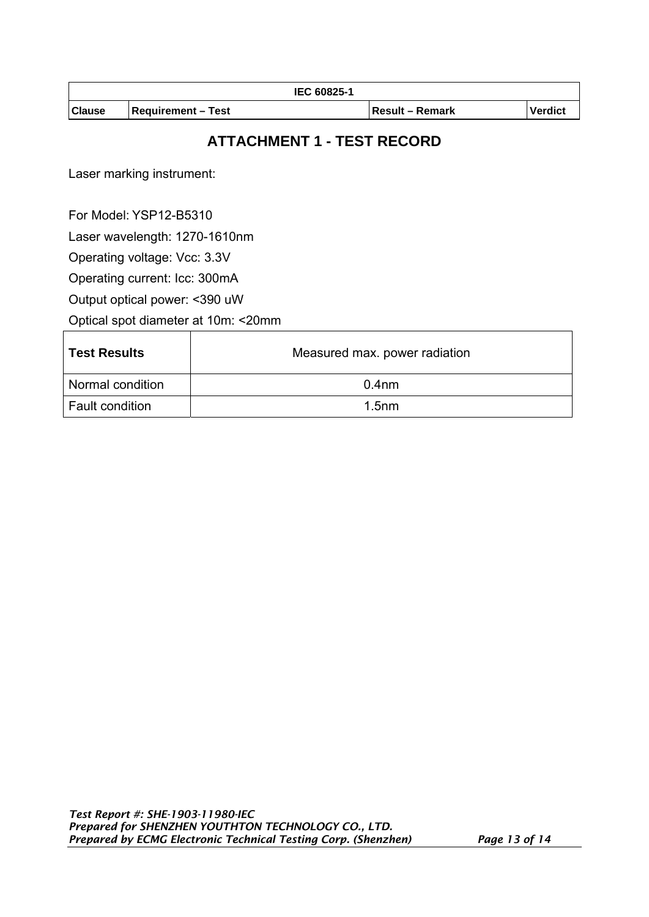| <b>IEC 60825-1</b> |                           |                        |                |
|--------------------|---------------------------|------------------------|----------------|
| <b>Clause</b>      | <b>Requirement – Test</b> | <b>Result – Remark</b> | <b>Verdict</b> |

## **ATTACHMENT 1 - TEST RECORD**

Laser marking instrument:

For Model: YSP12-B5310

Laser wavelength: 1270-1610nm

Operating voltage: Vcc: 3.3V

Operating current: Icc: 300mA

Output optical power: <390 uW

Optical spot diameter at 10m: <20mm

| <b>Test Results</b>    | Measured max. power radiation |  |
|------------------------|-------------------------------|--|
| Normal condition       | $0.4$ nm                      |  |
| <b>Fault condition</b> | 1.5 <sub>nm</sub>             |  |